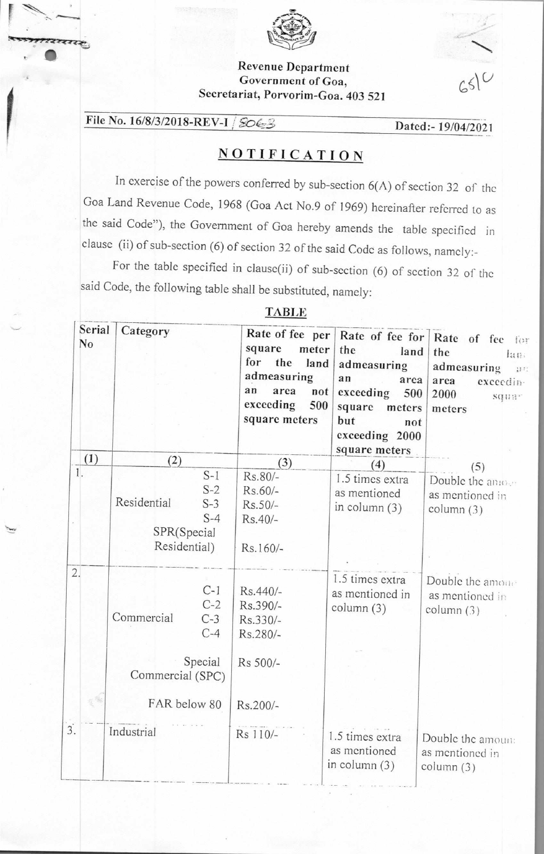

### Revenue Department Government of Goa, Secretariat, Porvorim-Goa. 403 521

 $6510$ 

# File No. 16/8/3/2018-REV-I | SOE3<br>Dated:- 19/04/2021

राखाक

## **NOTIFICATION**

In exercise of the powers conferred by sub-section  $6(A)$  of section 32 of the Goa Land Revenue Code, 1968 (Goa Act No.9 of 1969) hereinafter referred to as the said Code"), the Government of Goa hereby amends the table specified in clause (ii) of sub-section (6) of section 32 of the said Code as follows, namely:-

For the table specified in clause(ii) of sub-section (6) of section 32 of the said Code, the following table shall be substituted, namely:

#### TABLE

|                  | Serial<br>N <sub>o</sub> | Category                                                                                      | Rate of fee per<br>square<br>meter<br>for<br>the<br>land<br>admeasuring<br>an<br>area<br>not<br>exceeding<br>500<br>square meters | the<br>land<br>admeasuring<br>an<br>area<br>exceeding<br>500<br>square<br>meters<br>but<br>not<br>exceeding 2000<br>square meters | Rate of fee for   Rate of fee for<br>the<br>lan:<br>admeasuring<br>$\mathbf{H}$ :<br>area<br>exceedin-<br>2000<br><b>SQUA</b> <sup>2</sup><br>meters |
|------------------|--------------------------|-----------------------------------------------------------------------------------------------|-----------------------------------------------------------------------------------------------------------------------------------|-----------------------------------------------------------------------------------------------------------------------------------|------------------------------------------------------------------------------------------------------------------------------------------------------|
|                  | (1)                      | (2)                                                                                           | (3)                                                                                                                               | (4)                                                                                                                               | (5)                                                                                                                                                  |
| 1.               |                          | $S-1$<br>$S-2$<br>Residential<br>$S-3$<br>$S-4$<br>SPR(Special<br>Residential)                | Rs.80/-<br>$Rs.60/-$<br>Rs.50/-<br>$Rs.40/-$<br>Rs.160/-                                                                          | 1.5 times extra<br>as mentioned<br>in column $(3)$                                                                                | Double the answer<br>as mentioned in<br>column $(3)$                                                                                                 |
| 2.               |                          | $C-1$<br>$C-2$<br>Commercial<br>$C-3$<br>$C-4$<br>Special<br>Commercial (SPC)<br>FAR below 80 | Rs.440/-<br>Rs.390/-<br>Rs.330/-<br>Rs.280/-<br>Rs 500/-<br>Rs.200/-                                                              | 1.5 times extra<br>as mentioned in<br>column (3)                                                                                  | Double the amount<br>as mentioned in<br>column (3)                                                                                                   |
| $\overline{3}$ . |                          | Industrial                                                                                    | Rs 110/-                                                                                                                          | 1.5 times extra<br>as mentioned<br>in column $(3)$                                                                                | Double the amoun:<br>as mentioned in<br>column (3)                                                                                                   |